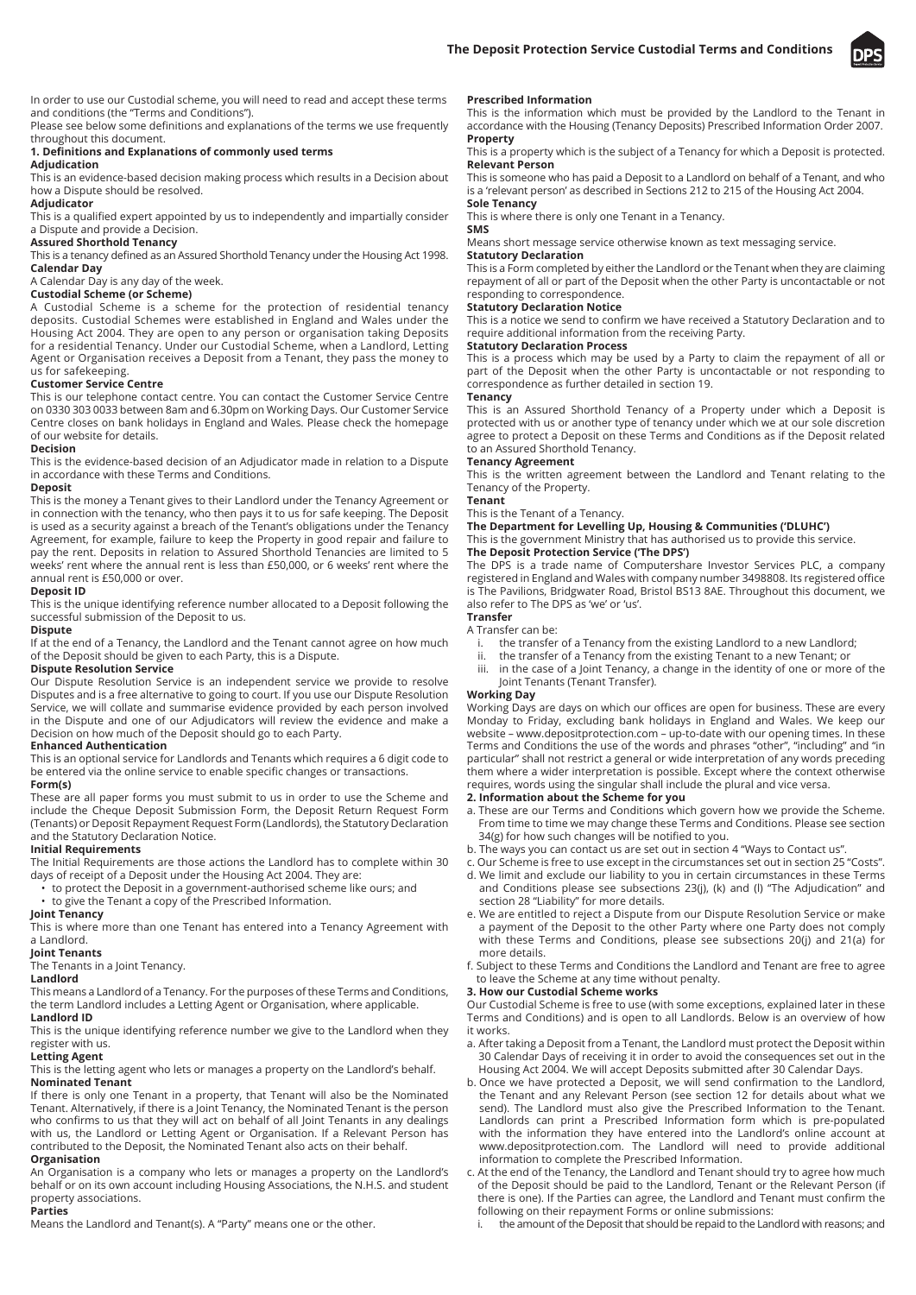

In order to use our Custodial scheme, you will need to read and accept these terms and conditions (the "Terms and Conditions").

Please see below some definitions and explanations of the terms we use frequently throughout this document.

# **1. Definitions and Explanations of commonly used terms**

# **Adjudication**

This is an evidence-based decision making process which results in a Decision about how a Dispute should be resolved.

## **Adjudicator**

This is a qualified expert appointed by us to independently and impartially consider a Dispute and provide a Decision.

## **Assured Shorthold Tenancy**

This is a tenancy defined as an Assured Shorthold Tenancy under the Housing Act 1998. **Calendar Day**

# A Calendar Day is any day of the week.

# **Custodial Scheme (or Scheme)**

A Custodial Scheme is a scheme for the protection of residential tenancy deposits. Custodial Schemes were established in England and Wales under the Housing Act 2004. They are open to any person or organisation taking Deposits for a residential Tenancy. Under our Custodial Scheme, when a Landlord, Letting Agent or Organisation receives a Deposit from a Tenant, they pass the money to us for safekeeping.

## **Customer Service Centre**

This is our telephone contact centre. You can contact the Customer Service Centre on 0330 303 0033 between 8am and 6.30pm on Working Days. Our Customer Service Centre closes on bank holidays in England and Wales. Please check the homepage of our website for details.

## **Decision**

This is the evidence-based decision of an Adjudicator made in relation to a Dispute in accordance with these Terms and Conditions.

#### **Deposit**

This is the money a Tenant gives to their Landlord under the Tenancy Agreement or in connection with the tenancy, who then pays it to us for safe keeping. The Deposit is used as a security against a breach of the Tenant's obligations under the Tenancy Agreement, for example, failure to keep the Property in good repair and failure to pay the rent. Deposits in relation to Assured Shorthold Tenancies are limited to 5 weeks' rent where the annual rent is less than £50,000, or 6 weeks' rent where the annual rent is £50,000 or over.

## **Deposit ID**

This is the unique identifying reference number allocated to a Deposit following the successful submission of the Deposit to us.

#### **Dispute**

If at the end of a Tenancy, the Landlord and the Tenant cannot agree on how much of the Deposit should be given to each Party, this is a Dispute.

## **Dispute Resolution Service**

Our Dispute Resolution Service is an independent service we provide to resolve Disputes and is a free alternative to going to court. If you use our Dispute Resolution Service, we will collate and summarise evidence provided by each person involved in the Dispute and one of our Adjudicators will review the evidence and make a Decision on how much of the Deposit should go to each Party.

## **Enhanced Authentication**

This is an optional service for Landlords and Tenants which requires a 6 digit code to be entered via the online service to enable specific changes or transactions.

## **Form(s)**

These are all paper forms you must submit to us in order to use the Scheme and include the Cheque Deposit Submission Form, the Deposit Return Request Form (Tenants) or Deposit Repayment Request Form (Landlords), the Statutory Declaration and the Statutory Declaration Notice.

## **Initial Requirements**

The Initial Requirements are those actions the Landlord has to complete within 30 days of receipt of a Deposit under the Housing Act 2004. They are:

- to protect the Deposit in a government-authorised scheme like ours; and
- to give the Tenant a copy of the Prescribed Information.

**Joint Tenancy** This is where more than one Tenant has entered into a Tenancy Agreement with

## a Landlord.

**Joint Tenants**

# The Tenants in a Joint Tenancy.

## **Landlord**

This means a Landlord of a Tenancy. For the purposes of these Terms and Conditions, the term Landlord includes a Letting Agent or Organisation, where applicable. **Landlord ID**

This is the unique identifying reference number we give to the Landlord when they register with us.

## **Letting Agent**

This is the letting agent who lets or manages a property on the Landlord's behalf. **Nominated Tenant**

If there is only one Tenant in a property, that Tenant will also be the Nominated Tenant. Alternatively, if there is a Joint Tenancy, the Nominated Tenant is the person who confirms to us that they will act on behalf of all Joint Tenants in any dealings with us, the Landlord or Letting Agent or Organisation. If a Relevant Person has contributed to the Deposit, the Nominated Tenant also acts on their behalf. **Organisation**

## An Organisation is a company who lets or manages a property on the Landlord's behalf or on its own account including Housing Associations, the N.H.S. and student property associations.

#### **Parties**

Means the Landlord and Tenant(s). A "Party" means one or the other.

## **Prescribed Information**

This is the information which must be provided by the Landlord to the Tenant in accordance with the Housing (Tenancy Deposits) Prescribed Information Order 2007. **Property**

This is a property which is the subject of a Tenancy for which a Deposit is protected. **Relevant Person**

This is someone who has paid a Deposit to a Landlord on behalf of a Tenant, and who is a 'relevant person' as described in Sections 212 to 215 of the Housing Act 2004. **Sole Tenancy**

This is where there is only one Tenant in a Tenancy. **SMS**

Means short message service otherwise known as text messaging service. **Statutory Declaration**

This is a Form completed by either the Landlord or the Tenant when they are claiming repayment of all or part of the Deposit when the other Party is uncontactable or not responding to correspondence.

## **Statutory Declaration Notice**

This is a notice we send to confirm we have received a Statutory Declaration and to require additional information from the receiving Party.

## **Statutory Declaration Process**

This is a process which may be used by a Party to claim the repayment of all or part of the Deposit when the other Party is uncontactable or not responding to correspondence as further detailed in section 19.

# **Tenancy**

This is an Assured Shorthold Tenancy of a Property under which a Deposit is protected with us or another type of tenancy under which we at our sole discretion agree to protect a Deposit on these Terms and Conditions as if the Deposit related to an Assured Shorthold Tenancy.

## **Tenancy Agreement**

This is the written agreement between the Landlord and Tenant relating to the Tenancy of the Property.

# **Tenant**

This is the Tenant of a Tenancy. **The Department for Levelling Up, Housing & Communities ('DLUHC')**

This is the government Ministry that has authorised us to provide this service.

# **The Deposit Protection Service ('The DPS')**

The DPS is a trade name of Computershare Investor Services PLC, a company registered in England and Wales with company number 3498808. Its registered office is The Pavilions, Bridgwater Road, Bristol BS13 8AE. Throughout this document, we also refer to The DPS as 'we' or 'us'.

## **Transfer**

## A Transfer can be:

- i. the transfer of a Tenancy from the existing Landlord to a new Landlord;
- ii. the transfer of a Tenancy from the existing Tenant to a new Tenant; or iii in the case of a loint Tenancy a change in the identity of one or more
- in the case of a Joint Tenancy, a change in the identity of one or more of the Joint Tenants (Tenant Transfer).

# **Working Day**

Working Days are days on which our offices are open for business. These are every Monday to Friday, excluding bank holidays in England and Wales. We keep our website – www.depositprotection.com – up-to-date with our opening times. In these Terms and Conditions the use of the words and phrases "other", "including" and "in particular" shall not restrict a general or wide interpretation of any words preceding them where a wider interpretation is possible. Except where the context otherwise requires, words using the singular shall include the plural and vice versa.

# **2. Information about the Scheme for you**

- a. These are our Terms and Conditions which govern how we provide the Scheme. From time to time we may change these Terms and Conditions. Please see section 34(g) for how such changes will be notified to you.
- b. The ways you can contact us are set out in section 4 "Ways to Contact us".
- c. Our Scheme is free to use except in the circumstances set out in section 25 "Costs".
- d. We limit and exclude our liability to you in certain circumstances in these Terms and Conditions please see subsections 23(j), (k) and (l) "The Adjudication" and section 28 "Liability" for more details.
- e. We are entitled to reject a Dispute from our Dispute Resolution Service or make a payment of the Deposit to the other Party where one Party does not comply with these Terms and Conditions, please see subsections 20(j) and 21(a) for more details.
- f. Subject to these Terms and Conditions the Landlord and Tenant are free to agree to leave the Scheme at any time without penalty.

#### **3. How our Custodial Scheme works**

Our Custodial Scheme is free to use (with some exceptions, explained later in these Terms and Conditions) and is open to all Landlords. Below is an overview of how it works.

- a. After taking a Deposit from a Tenant, the Landlord must protect the Deposit within 30 Calendar Days of receiving it in order to avoid the consequences set out in the Housing Act 2004. We will accept Deposits submitted after 30 Calendar Days.
- b. Once we have protected a Deposit, we will send confirmation to the Landlord, the Tenant and any Relevant Person (see section 12 for details about what we send). The Landlord must also give the Prescribed Information to the Tenant. Landlords can print a Prescribed Information form which is pre-populated with the information they have entered into the Landlord's online account at www.depositprotection.com. The Landlord will need to provide additional information to complete the Prescribed Information.
- c. At the end of the Tenancy, the Landlord and Tenant should try to agree how much of the Deposit should be paid to the Landlord, Tenant or the Relevant Person (if there is one). If the Parties can agree, the Landlord and Tenant must confirm the following on their repayment Forms or online submissions:
	- the amount of the Deposit that should be repaid to the Landlord with reasons; and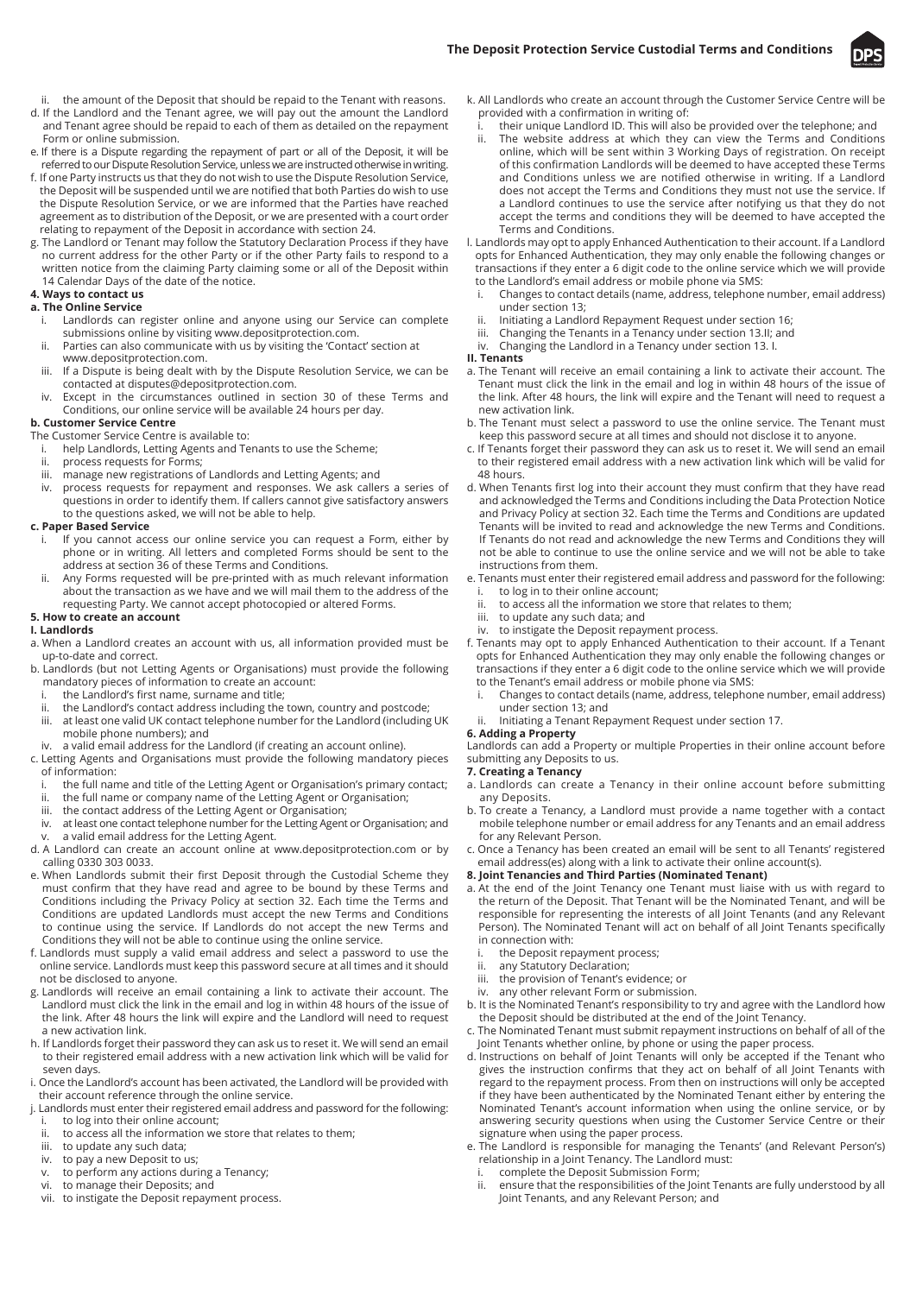

- ii. the amount of the Deposit that should be repaid to the Tenant with reasons.
- d. If the Landlord and the Tenant agree, we will pay out the amount the Landlord and Tenant agree should be repaid to each of them as detailed on the repayment Form or online submission.
- e. If there is a Dispute regarding the repayment of part or all of the Deposit, it will be referred to our Dispute Resolution Service, unless we are instructed otherwise in writing.
- f. If one Party instructs us that they do not wish to use the Dispute Resolution Service, the Deposit will be suspended until we are notified that both Parties do wish to use the Dispute Resolution Service, or we are informed that the Parties have reached agreement as to distribution of the Deposit, or we are presented with a court order relating to repayment of the Deposit in accordance with section 24.
- g. The Landlord or Tenant may follow the Statutory Declaration Process if they have no current address for the other Party or if the other Party fails to respond to a written notice from the claiming Party claiming some or all of the Deposit within 14 Calendar Days of the date of the notice.

## **4. Ways to contact us**

#### **a. The Online Service**

- i. Landlords can register online and anyone using our Service can complete submissions online by visiting www.depositprotection.com.
- ii. Parties can also communicate with us by visiting the 'Contact' section at www.depositprotection.com.
- iii. If a Dispute is being dealt with by the Dispute Resolution Service, we can be contacted at disputes@depositprotection.com.
- iv. Except in the circumstances outlined in section 30 of these Terms and Conditions, our online service will be available 24 hours per day.
- **b. Customer Service Centre**

## The Customer Service Centre is available to:

- i. help Landlords, Letting Agents and Tenants to use the Scheme;
- ii. process requests for Forms;<br>iii. manage new registrations of
- imanage new registrations of Landlords and Letting Agents; and
- process requests for repayment and responses. We ask callers a series of questions in order to identify them. If callers cannot give satisfactory answers to the questions asked, we will not be able to help.

#### **c. Paper Based Service**

- If you cannot access our online service you can request a Form, either by phone or in writing. All letters and completed Forms should be sent to the address at section 36 of these Terms and Conditions.
- Any Forms requested will be pre-printed with as much relevant information about the transaction as we have and we will mail them to the address of the requesting Party. We cannot accept photocopied or altered Forms.

### **5. How to create an account**

## **I. Landlords**

- a. When a Landlord creates an account with us, all information provided must be up-to-date and correct.
- b. Landlords (but not Letting Agents or Organisations) must provide the following mandatory pieces of information to create an account:
	- i. the Landlord's first name, surname and title;
	- ii. the Landlord's contact address including the town, country and postcode;
	- iii. at least one valid UK contact telephone number for the Landlord (including UK mobile phone numbers); and
	- iv. a valid email address for the Landlord (if creating an account online).
- c. Letting Agents and Organisations must provide the following mandatory pieces of information:
	- i. the full name and title of the Letting Agent or Organisation's primary contact;<br>ii. the full name or company name of the Letting Agent or Organisation:
	- the full name or company name of the Letting Agent or Organisation;
	- iii. the contact address of the Letting Agent or Organisation;
- iv. at least one contact telephone number for the Letting Agent or Organisation; and a valid email address for the Letting Agent.
- d. A Landlord can create an account online at www.depositprotection.com or by calling 0330 303 0033.
- e. When Landlords submit their first Deposit through the Custodial Scheme they must confirm that they have read and agree to be bound by these Terms and Conditions including the Privacy Policy at section 32. Each time the Terms and Conditions are updated Landlords must accept the new Terms and Conditions to continue using the service. If Landlords do not accept the new Terms and Conditions they will not be able to continue using the online service.
- f. Landlords must supply a valid email address and select a password to use the online service. Landlords must keep this password secure at all times and it should not be disclosed to anyone.
- g. Landlords will receive an email containing a link to activate their account. The Landlord must click the link in the email and log in within 48 hours of the issue of the link. After 48 hours the link will expire and the Landlord will need to request a new activation link.
- h. If Landlords forget their password they can ask us to reset it. We will send an email to their registered email address with a new activation link which will be valid for seven days.
- i. Once the Landlord's account has been activated, the Landlord will be provided with their account reference through the online service.
- j. Landlords must enter their registered email address and password for the following: to log into their online account;
- ii. to access all the information we store that relates to them;
- iii. to update any such data;
- iv. to pay a new Deposit to us;<br>v. to perform any actions dur
- to perform any actions during a Tenancy;
- vi. to manage their Deposits; and
- vii. to instigate the Deposit repayment process.
- k. All Landlords who create an account through the Customer Service Centre will be provided with a confirmation in writing of:
- i. their unique Landlord ID. This will also be provided over the telephone; and ii. The website address at which they can view the Terms and Conditions online, which will be sent within 3 Working Days of registration. On receipt of this confirmation Landlords will be deemed to have accepted these Terms and Conditions unless we are notified otherwise in writing. If a Landlord does not accept the Terms and Conditions they must not use the service. If a Landlord continues to use the service after notifying us that they do not
- accept the terms and conditions they will be deemed to have accepted the Terms and Conditions. l. Landlords may opt to apply Enhanced Authentication to their account. If a Landlord
- opts for Enhanced Authentication, they may only enable the following changes or transactions if they enter a 6 digit code to the online service which we will provide to the Landlord's email address or mobile phone via SMS:
	- i. Changes to contact details (name, address, telephone number, email address) under section 13;
- ii. Initiating a Landlord Repayment Request under section 16;<br>iii. Changing the Tenants in a Tenancy under section 13 II: and
- iii. Changing the Tenants in a Tenancy under section 13.II; and iv. Changing the Landlord in a Tenancy under section 13. I.
- Changing the Landlord in a Tenancy under section 13. I.
- **II. Tenants**
- a. The Tenant will receive an email containing a link to activate their account. The Tenant must click the link in the email and log in within 48 hours of the issue of the link. After 48 hours, the link will expire and the Tenant will need to request a new activation link.
- b. The Tenant must select a password to use the online service. The Tenant must keep this password secure at all times and should not disclose it to anyone.
- c. If Tenants forget their password they can ask us to reset it. We will send an email to their registered email address with a new activation link which will be valid for 48 hours.
- d. When Tenants first log into their account they must confirm that they have read and acknowledged the Terms and Conditions including the Data Protection Notice and Privacy Policy at section 32. Each time the Terms and Conditions are updated Tenants will be invited to read and acknowledge the new Terms and Conditions. If Tenants do not read and acknowledge the new Terms and Conditions they will not be able to continue to use the online service and we will not be able to take instructions from them.
- e. Tenants must enter their registered email address and password for the following:
	- i. to log in to their online account;<br>ii to access all the information we to access all the information we store that relates to them;
	- iii. to update any such data; and
- iv. to instigate the Deposit repayment process.
- f. Tenants may opt to apply Enhanced Authentication to their account. If a Tenant opts for Enhanced Authentication they may only enable the following changes or transactions if they enter a 6 digit code to the online service which we will provide to the Tenant's email address or mobile phone via SMS:
- i. Changes to contact details (name, address, telephone number, email address) under section 13; and
- ii. Initiating a Tenant Repayment Request under section 17.

# **6. Adding a Property**

Landlords can add a Property or multiple Properties in their online account before submitting any Deposits to us.

## **7. Creating a Tenancy**

- a. Landlords can create a Tenancy in their online account before submitting any Deposits.
- b. To create a Tenancy, a Landlord must provide a name together with a contact mobile telephone number or email address for any Tenants and an email address for any Relevant Person.
- c. Once a Tenancy has been created an email will be sent to all Tenants' registered email address(es) along with a link to activate their online account(s).
- **8. Joint Tenancies and Third Parties (Nominated Tenant)**
- a. At the end of the Joint Tenancy one Tenant must liaise with us with regard to the return of the Deposit. That Tenant will be the Nominated Tenant, and will be responsible for representing the interests of all Joint Tenants (and any Relevant Person). The Nominated Tenant will act on behalf of all Joint Tenants specifically in connection with:
	- the Deposit repayment process;
	- ii. any Statutory Declaration;
	- iii. the provision of Tenant's evidence; or
	- iv. any other relevant Form or submission.
- b. It is the Nominated Tenant's responsibility to try and agree with the Landlord how the Deposit should be distributed at the end of the Joint Tenancy.
- c. The Nominated Tenant must submit repayment instructions on behalf of all of the Joint Tenants whether online, by phone or using the paper process.
- d. Instructions on behalf of Joint Tenants will only be accepted if the Tenant who gives the instruction confirms that they act on behalf of all Joint Tenants with regard to the repayment process. From then on instructions will only be accepted if they have been authenticated by the Nominated Tenant either by entering the Nominated Tenant's account information when using the online service, or by answering security questions when using the Customer Service Centre or their signature when using the paper process.
- e. The Landlord is responsible for managing the Tenants' (and Relevant Person's) relationship in a Joint Tenancy. The Landlord must:
	- complete the Deposit Submission Form;
	- ii. ensure that the responsibilities of the Joint Tenants are fully understood by all Joint Tenants, and any Relevant Person; and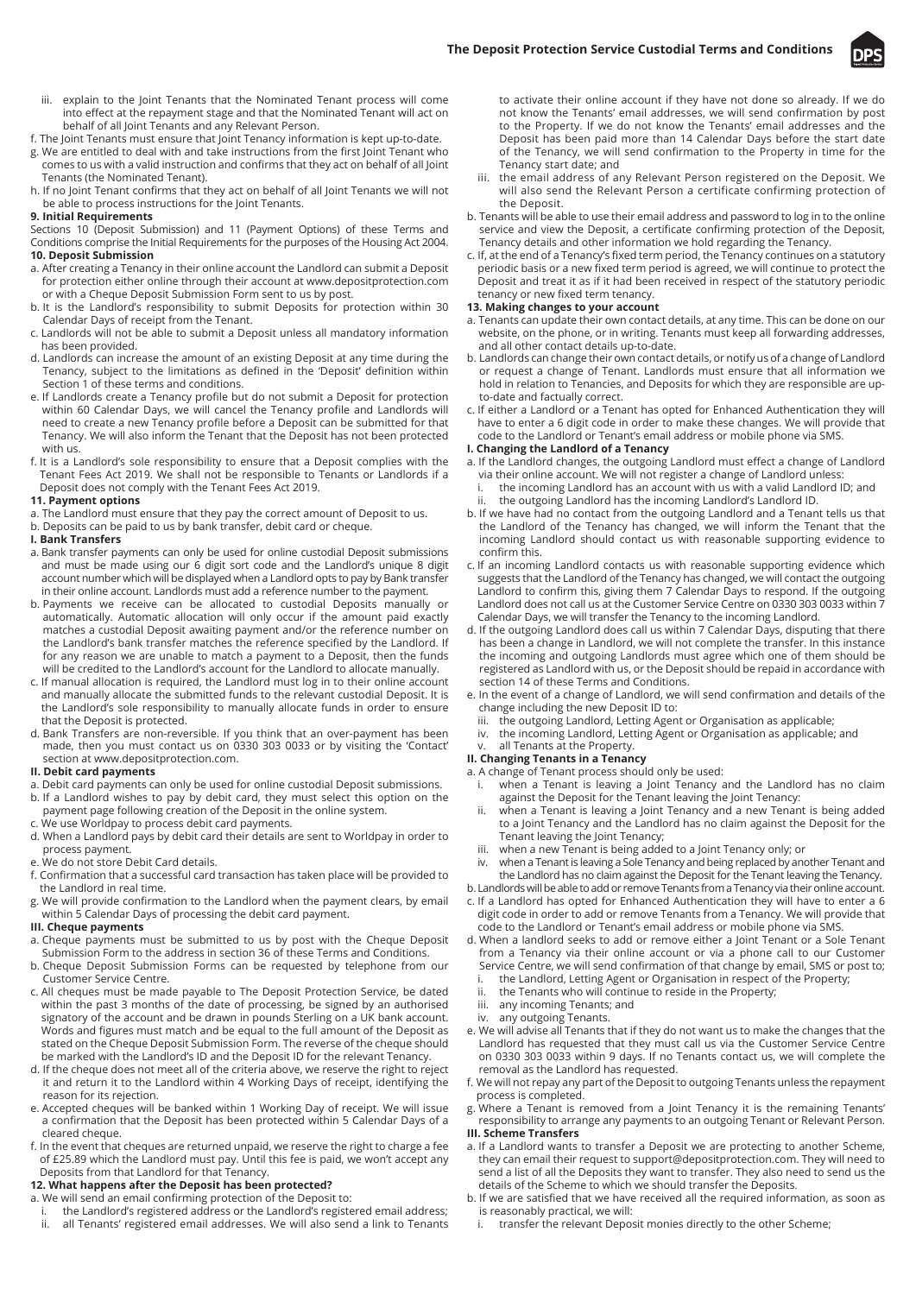

- iii. explain to the Joint Tenants that the Nominated Tenant process will come into effect at the repayment stage and that the Nominated Tenant will act on behalf of all Joint Tenants and any Relevant Person.
- f. The Joint Tenants must ensure that Joint Tenancy information is kept up-to-date.
- g. We are entitled to deal with and take instructions from the first Joint Tenant who comes to us with a valid instruction and confirms that they act on behalf of all Joint Tenants (the Nominated Tenant).
- h. If no Joint Tenant confirms that they act on behalf of all Joint Tenants we will not be able to process instructions for the Joint Tenants.

# **9. Initial Requirements**

Sections 10 (Deposit Submission) and 11 (Payment Options) of these Terms and Conditions comprise the Initial Requirements for the purposes of the Housing Act 2004. **10. Deposit Submission**

- a. After creating a Tenancy in their online account the Landlord can submit a Deposit for protection either online through their account at www.depositprotection.com or with a Cheque Deposit Submission Form sent to us by post.
- b. It is the Landlord's responsibility to submit Deposits for protection within 30 Calendar Days of receipt from the Tenant.
- c. Landlords will not be able to submit a Deposit unless all mandatory information has been provided.
- d. Landlords can increase the amount of an existing Deposit at any time during the Tenancy, subject to the limitations as defined in the 'Deposit' definition within Section 1 of these terms and conditions.
- e. If Landlords create a Tenancy profile but do not submit a Deposit for protection within 60 Calendar Days, we will cancel the Tenancy profile and Landlords will need to create a new Tenancy profile before a Deposit can be submitted for that Tenancy. We will also inform the Tenant that the Deposit has not been protected with us.
- f. It is a Landlord's sole responsibility to ensure that a Deposit complies with the Tenant Fees Act 2019. We shall not be responsible to Tenants or Landlords if a Deposit does not comply with the Tenant Fees Act 2019.

## **11. Payment options**

- a. The Landlord must ensure that they pay the correct amount of Deposit to us.
- b. Deposits can be paid to us by bank transfer, debit card or cheque.
- **I. Bank Transfers**
- a. Bank transfer payments can only be used for online custodial Deposit submissions and must be made using our 6 digit sort code and the Landlord's unique 8 digit account number which will be displayed when a Landlord opts to pay by Bank transfer in their online account. Landlords must add a reference number to the payment.
- b. Payments we receive can be allocated to custodial Deposits manually or automatically. Automatic allocation will only occur if the amount paid exactly matches a custodial Deposit awaiting payment and/or the reference number on the Landlord's bank transfer matches the reference specified by the Landlord. If for any reason we are unable to match a payment to a Deposit, then the funds will be credited to the Landlord's account for the Landlord to allocate manually.
- c. If manual allocation is required, the Landlord must log in to their online account and manually allocate the submitted funds to the relevant custodial Deposit. It is the Landlord's sole responsibility to manually allocate funds in order to ensure that the Deposit is protected.
- d. Bank Transfers are non-reversible. If you think that an over-payment has been made, then you must contact us on 0330 303 0033 or by visiting the 'Contact' section at www.depositprotection.com.

# **II. Debit card payments**

- a. Debit card payments can only be used for online custodial Deposit submissions.
- b. If a Landlord wishes to pay by debit card, they must select this option on the payment page following creation of the Deposit in the online system.
- c. We use Worldpay to process debit card payments.
- d. When a Landlord pays by debit card their details are sent to Worldpay in order to process payment.
- e. We do not store Debit Card details.
- f. Confirmation that a successful card transaction has taken place will be provided to the Landlord in real time.
- g. We will provide confirmation to the Landlord when the payment clears, by email within 5 Calendar Days of processing the debit card payment.

# **III. Cheque payments**

- a. Cheque payments must be submitted to us by post with the Cheque Deposit Submission Form to the address in section 36 of these Terms and Conditions.
- b. Cheque Deposit Submission Forms can be requested by telephone from our Customer Service Centre.
- c. All cheques must be made payable to The Deposit Protection Service, be dated within the past 3 months of the date of processing, be signed by an authorised signatory of the account and be drawn in pounds Sterling on a UK bank account. Words and figures must match and be equal to the full amount of the Deposit as stated on the Cheque Deposit Submission Form. The reverse of the cheque should be marked with the Landlord's ID and the Deposit ID for the relevant Tenancy.
- d. If the cheque does not meet all of the criteria above, we reserve the right to reject it and return it to the Landlord within 4 Working Days of receipt, identifying the reason for its rejection.
- e. Accepted cheques will be banked within 1 Working Day of receipt. We will issue a confirmation that the Deposit has been protected within 5 Calendar Days of a cleared cheque.
- f. In the event that cheques are returned unpaid, we reserve the right to charge a fee of £25.89 which the Landlord must pay. Until this fee is paid, we won't accept any Deposits from that Landlord for that Tenancy.
- **12. What happens after the Deposit has been protected?**
- a. We will send an email confirming protection of the Deposit to:
	- the Landlord's registered address or the Landlord's registered email address;
	- ii. all Tenants' registered email addresses. We will also send a link to Tenants

to activate their online account if they have not done so already. If we do not know the Tenants' email addresses, we will send confirmation by post to the Property. If we do not know the Tenants' email addresses and the Deposit has been paid more than 14 Calendar Days before the start date of the Tenancy, we will send confirmation to the Property in time for the Tenancy start date; and

- iii. the email address of any Relevant Person registered on the Deposit. We will also send the Relevant Person a certificate confirming protection of the Deposit.
- b. Tenants will be able to use their email address and password to log in to the online service and view the Deposit, a certificate confirming protection of the Deposit, Tenancy details and other information we hold regarding the Tenancy.
- c. If, at the end of a Tenancy's fixed term period, the Tenancy continues on a statutory periodic basis or a new fixed term period is agreed, we will continue to protect the Deposit and treat it as if it had been received in respect of the statutory periodic tenancy or new fixed term tenancy.

## **13. Making changes to your account**

- a. Tenants can update their own contact details, at any time. This can be done on our website, on the phone, or in writing. Tenants must keep all forwarding addresses, and all other contact details up-to-date.
- b. Landlords can change their own contact details, or notify us of a change of Landlord or request a change of Tenant. Landlords must ensure that all information we hold in relation to Tenancies, and Deposits for which they are responsible are upto-date and factually correct.
- c. If either a Landlord or a Tenant has opted for Enhanced Authentication they will have to enter a 6 digit code in order to make these changes. We will provide that code to the Landlord or Tenant's email address or mobile phone via SMS.

# **I. Changing the Landlord of a Tenancy**

- a. If the Landlord changes, the outgoing Landlord must effect a change of Landlord via their online account. We will not register a change of Landlord unless:
- i. the incoming Landlord has an account with us with a valid Landlord ID; and the outgoing Landlord has the incoming Landlord's Landlord ID.
- 
- b. If we have had no contact from the outgoing Landlord and a Tenant tells us that the Landlord of the Tenancy has changed, we will inform the Tenant that the incoming Landlord should contact us with reasonable supporting evidence to confirm this.
- c. If an incoming Landlord contacts us with reasonable supporting evidence which suggests that the Landlord of the Tenancy has changed, we will contact the outgoing Landlord to confirm this, giving them 7 Calendar Days to respond. If the outgoing Landlord does not call us at the Customer Service Centre on 0330 303 0033 within 7 Calendar Days, we will transfer the Tenancy to the incoming Landlord.
- d. If the outgoing Landlord does call us within 7 Calendar Days, disputing that there has been a change in Landlord, we will not complete the transfer. In this instance the incoming and outgoing Landlords must agree which one of them should be registered as Landlord with us, or the Deposit should be repaid in accordance with section 14 of these Terms and Conditions.
- e. In the event of a change of Landlord, we will send confirmation and details of the change including the new Deposit ID to:
	- iii. the outgoing Landlord, Letting Agent or Organisation as applicable;
	- the incoming Landlord, Letting Agent or Organisation as applicable; and
	- all Tenants at the Property.

# **II. Changing Tenants in a Tenancy**

- a. A change of Tenant process should only be used: i. when a Tenant is leaving a Joint Tenancy and the Landlord has no claim
	- against the Deposit for the Tenant leaving the Joint Tenancy:
	- ii. when a Tenant is leaving a Joint Tenancy and a new Tenant is being added to a Joint Tenancy and the Landlord has no claim against the Deposit for the Tenant leaving the Joint Tenancy;
	- iii. when a new Tenant is being added to a Joint Tenancy only; or
- when a Tenant is leaving a Sole Tenancy and being replaced by another Tenant and the Landlord has no claim against the Deposit for the Tenant leaving the Tenancy.

b. Landlords will be able to add or remove Tenants from a Tenancy via their online account.

- c. If a Landlord has opted for Enhanced Authentication they will have to enter a 6 digit code in order to add or remove Tenants from a Tenancy. We will provide that code to the Landlord or Tenant's email address or mobile phone via SMS.
- d. When a landlord seeks to add or remove either a Joint Tenant or a Sole Tenant from a Tenancy via their online account or via a phone call to our Customer Service Centre, we will send confirmation of that change by email, SMS or post to;
- i. the Landlord, Letting Agent or Organisation in respect of the Property;<br>ii. the Tenants who will continue to reside in the Property:
- the Tenants who will continue to reside in the Property;
- iii. any incoming Tenants; and
- iv. any outgoing Tenants. e. We will advise all Tenants that if they do not want us to make the changes that the Landlord has requested that they must call us via the Customer Service Centre on 0330 303 0033 within 9 days. If no Tenants contact us, we will complete the removal as the Landlord has requested.
- f. We will not repay any part of the Deposit to outgoing Tenants unless the repayment process is completed.
- g. Where a Tenant is removed from a Joint Tenancy it is the remaining Tenants' responsibility to arrange any payments to an outgoing Tenant or Relevant Person.

# **III. Scheme Transfers**

- a. If a Landlord wants to transfer a Deposit we are protecting to another Scheme, they can email their request to support@depositprotection.com. They will need to send a list of all the Deposits they want to transfer. They also need to send us the details of the Scheme to which we should transfer the Deposits.
- b. If we are satisfied that we have received all the required information, as soon as is reasonably practical, we will:
	- transfer the relevant Deposit monies directly to the other Scheme;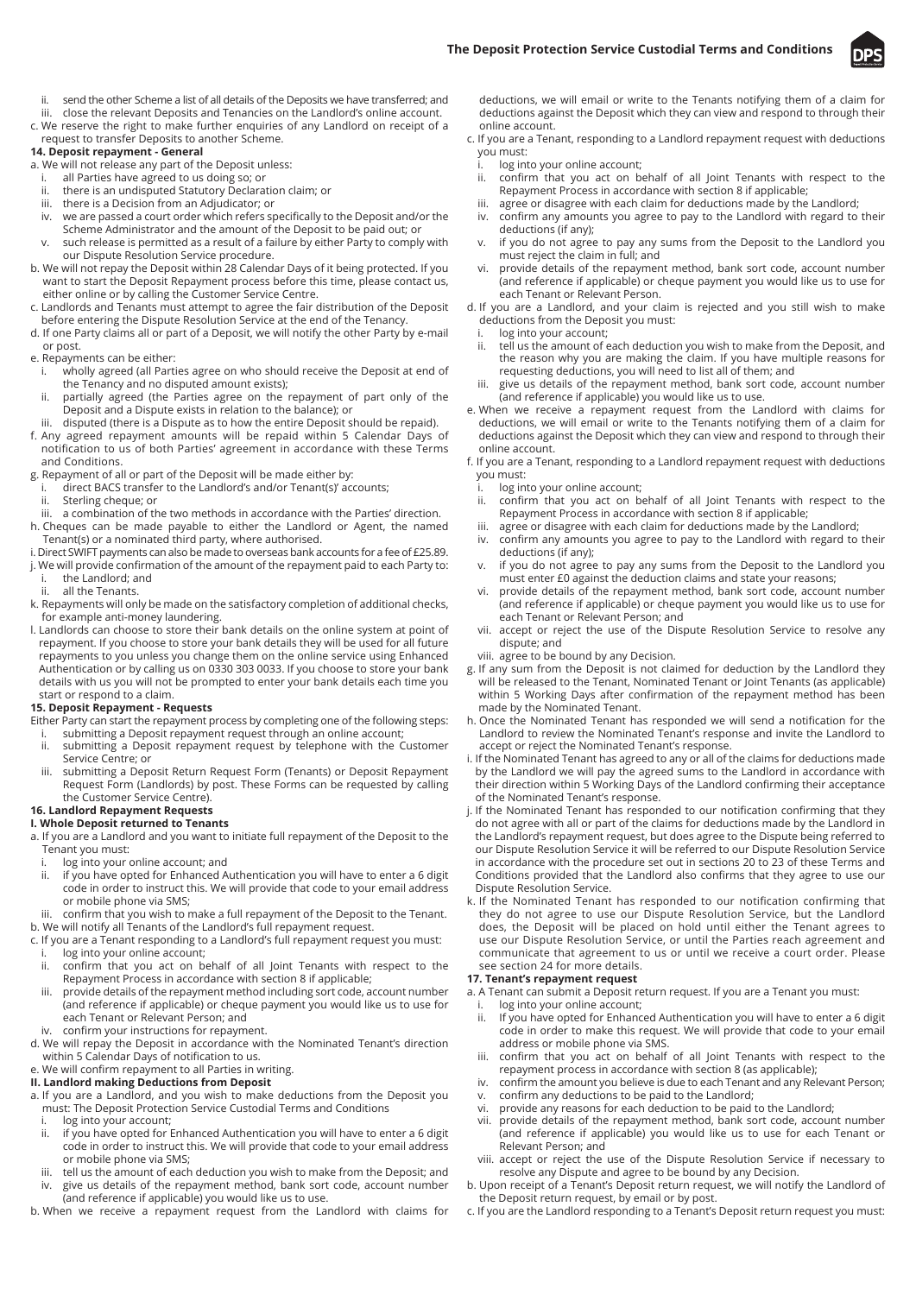

- ii. send the other Scheme a list of all details of the Deposits we have transferred; and
- iii. close the relevant Deposits and Tenancies on the Landlord's online account. c. We reserve the right to make further enquiries of any Landlord on receipt of a
- request to transfer Deposits to another Scheme.

# **14. Deposit repayment - General**

a. We will not release any part of the Deposit unless:

- i. all Parties have agreed to us doing so; or<br>ii. there is an undisputed Statutory Declara
- there is an undisputed Statutory Declaration claim; or iii. there is a Decision from an Adjudicator; or
- 
- iv. we are passed a court order which refers specifically to the Deposit and/or the Scheme Administrator and the amount of the Deposit to be paid out; or
- v. such release is permitted as a result of a failure by either Party to comply with our Dispute Resolution Service procedure.
- b. We will not repay the Deposit within 28 Calendar Days of it being protected. If you want to start the Deposit Repayment process before this time, please contact us, either online or by calling the Customer Service Centre.
- c. Landlords and Tenants must attempt to agree the fair distribution of the Deposit before entering the Dispute Resolution Service at the end of the Tenancy.
- d. If one Party claims all or part of a Deposit, we will notify the other Party by e-mail or post.

e. Repayments can be either:

- i. wholly agreed (all Parties agree on who should receive the Deposit at end of the Tenancy and no disputed amount exists);
- ii. partially agreed (the Parties agree on the repayment of part only of the Deposit and a Dispute exists in relation to the balance); or
- disputed (there is a Dispute as to how the entire Deposit should be repaid).
- f. Any agreed repayment amounts will be repaid within 5 Calendar Days of notification to us of both Parties' agreement in accordance with these Terms and Conditions.
- g. Repayment of all or part of the Deposit will be made either by:
	- i. direct BACS transfer to the Landlord's and/or Tenant(s)' accounts;<br>ii. Sterling cheque: or
	- Sterling cheque; or
- iii. a combination of the two methods in accordance with the Parties' direction. h. Cheques can be made payable to either the Landlord or Agent, the named Tenant(s) or a nominated third party, where authorised.
- i. Direct SWIFT payments can also be made to overseas bank accounts for a fee of £25.89.
- j. We will provide confirmation of the amount of the repayment paid to each Party to: the Landlord; and
- all the Tenants.
- k. Repayments will only be made on the satisfactory completion of additional checks, for example anti-money laundering.
- l. Landlords can choose to store their bank details on the online system at point of repayment. If you choose to store your bank details they will be used for all future repayments to you unless you change them on the online service using Enhanced Authentication or by calling us on 0330 303 0033. If you choose to store your bank details with us you will not be prompted to enter your bank details each time you start or respond to a claim.

#### **15. Deposit Repayment - Requests**

- Either Party can start the repayment process by completing one of the following steps:
- i. submitting a Deposit repayment request through an online account;<br>ii. submitting a Deposit repayment request by telephone with the C submitting a Deposit repayment request by telephone with the Customer
- Service Centre; or iii. submitting a Deposit Return Request Form (Tenants) or Deposit Repayment
- Request Form (Landlords) by post. These Forms can be requested by calling the Customer Service Centre).

#### **16. Landlord Repayment Requests I. Whole Deposit returned to Tenants**

- a. If you are a Landlord and you want to initiate full repayment of the Deposit to the
	- Tenant you must:<br>i. log into your log into your online account; and
	- ii. if you have opted for Enhanced Authentication you will have to enter a 6 digit code in order to instruct this. We will provide that code to your email address or mobile phone via SMS;
- confirm that you wish to make a full repayment of the Deposit to the Tenant. b. We will notify all Tenants of the Landlord's full repayment request.
- c. If you are a Tenant responding to a Landlord's full repayment request you must:
- i. log into your online account;<br>ii. confirm that you act on b confirm that you act on behalf of all Joint Tenants with respect to the Repayment Process in accordance with section 8 if applicable;
- iii. provide details of the repayment method including sort code, account number (and reference if applicable) or cheque payment you would like us to use for each Tenant or Relevant Person; and
- confirm your instructions for repayment.
- d. We will repay the Deposit in accordance with the Nominated Tenant's direction within 5 Calendar Days of notification to us.
- e. We will confirm repayment to all Parties in writing.

# **II. Landlord making Deductions from Deposit**

- a. If you are a Landlord, and you wish to make deductions from the Deposit you must: The Deposit Protection Service Custodial Terms and Conditions
	- log into your account;
	- ii. if you have opted for Enhanced Authentication you will have to enter a 6 digit code in order to instruct this. We will provide that code to your email address or mobile phone via SMS;
	- iii. tell us the amount of each deduction you wish to make from the Deposit; and
- give us details of the repayment method, bank sort code, account number (and reference if applicable) you would like us to use.

b. When we receive a repayment request from the Landlord with claims for

deductions, we will email or write to the Tenants notifying them of a claim for deductions against the Deposit which they can view and respond to through their online account.

- c. If you are a Tenant, responding to a Landlord repayment request with deductions you must:
	- log into your online account:
	- ii. confirm that you act on behalf of all Joint Tenants with respect to the Repayment Process in accordance with section 8 if applicable;
	- iii. agree or disagree with each claim for deductions made by the Landlord;
	- iv. confirm any amounts you agree to pay to the Landlord with regard to their deductions (if any);
	- v. if you do not agree to pay any sums from the Deposit to the Landlord you must reject the claim in full; and
	- vi. provide details of the repayment method, bank sort code, account number (and reference if applicable) or cheque payment you would like us to use for each Tenant or Relevant Person.
- d. If you are a Landlord, and your claim is rejected and you still wish to make deductions from the Deposit you must:
	- i. log into your account;<br>ii. tell us the amount of e
	- tell us the amount of each deduction you wish to make from the Deposit, and the reason why you are making the claim. If you have multiple reasons for requesting deductions, you will need to list all of them; and
	- iii. give us details of the repayment method, bank sort code, account number (and reference if applicable) you would like us to use.
- e. When we receive a repayment request from the Landlord with claims for deductions, we will email or write to the Tenants notifying them of a claim for deductions against the Deposit which they can view and respond to through their online account.
- f. If you are a Tenant, responding to a Landlord repayment request with deductions you must:
	- i. log into your online account;<br>ii. confirm that you act on b
	- confirm that you act on behalf of all Joint Tenants with respect to the Repayment Process in accordance with section 8 if applicable;
	- iii. agree or disagree with each claim for deductions made by the Landlord;
	- iv. confirm any amounts you agree to pay to the Landlord with regard to their deductions (if any);
	- v. if you do not agree to pay any sums from the Deposit to the Landlord you must enter £0 against the deduction claims and state your reasons;
	- provide details of the repayment method, bank sort code, account number (and reference if applicable) or cheque payment you would like us to use for each Tenant or Relevant Person; and
	- vii. accept or reject the use of the Dispute Resolution Service to resolve any dispute; and

viii. agree to be bound by any Decision.

- g. If any sum from the Deposit is not claimed for deduction by the Landlord they will be released to the Tenant, Nominated Tenant or Joint Tenants (as applicable) within 5 Working Days after confirmation of the repayment method has been made by the Nominated Tenant.
- h. Once the Nominated Tenant has responded we will send a notification for the Landlord to review the Nominated Tenant's response and invite the Landlord to accept or reject the Nominated Tenant's response.
- i. If the Nominated Tenant has agreed to any or all of the claims for deductions made by the Landlord we will pay the agreed sums to the Landlord in accordance with their direction within 5 Working Days of the Landlord confirming their acceptance of the Nominated Tenant's response.
- j. If the Nominated Tenant has responded to our notification confirming that they do not agree with all or part of the claims for deductions made by the Landlord in the Landlord's repayment request, but does agree to the Dispute being referred to our Dispute Resolution Service it will be referred to our Dispute Resolution Service in accordance with the procedure set out in sections 20 to 23 of these Terms and Conditions provided that the Landlord also confirms that they agree to use our Dispute Resolution Service.
- k. If the Nominated Tenant has responded to our notification confirming that they do not agree to use our Dispute Resolution Service, but the Landlord does, the Deposit will be placed on hold until either the Tenant agrees to use our Dispute Resolution Service, or until the Parties reach agreement and communicate that agreement to us or until we receive a court order. Please see section 24 for more details.

### **17. Tenant's repayment request**

- a. A Tenant can submit a Deposit return request. If you are a Tenant you must:
	- i. log into your online account;<br>ii. If you have opted for Enhanc If you have opted for Enhanced Authentication you will have to enter a 6 digit code in order to make this request. We will provide that code to your email address or mobile phone via SMS.
- iii. confirm that you act on behalf of all Joint Tenants with respect to the repayment process in accordance with section 8 (as applicable);
- iv. confirm the amount you believe is due to each Tenant and any Relevant Person;
- confirm any deductions to be paid to the Landlord;
- vi. provide any reasons for each deduction to be paid to the Landlord;
- provide details of the repayment method, bank sort code, account number (and reference if applicable) you would like us to use for each Tenant or Relevant Person; and
- viii. accept or reject the use of the Dispute Resolution Service if necessary to resolve any Dispute and agree to be bound by any Decision.
- b. Upon receipt of a Tenant's Deposit return request, we will notify the Landlord of the Deposit return request, by email or by post.
- c. If you are the Landlord responding to a Tenant's Deposit return request you must: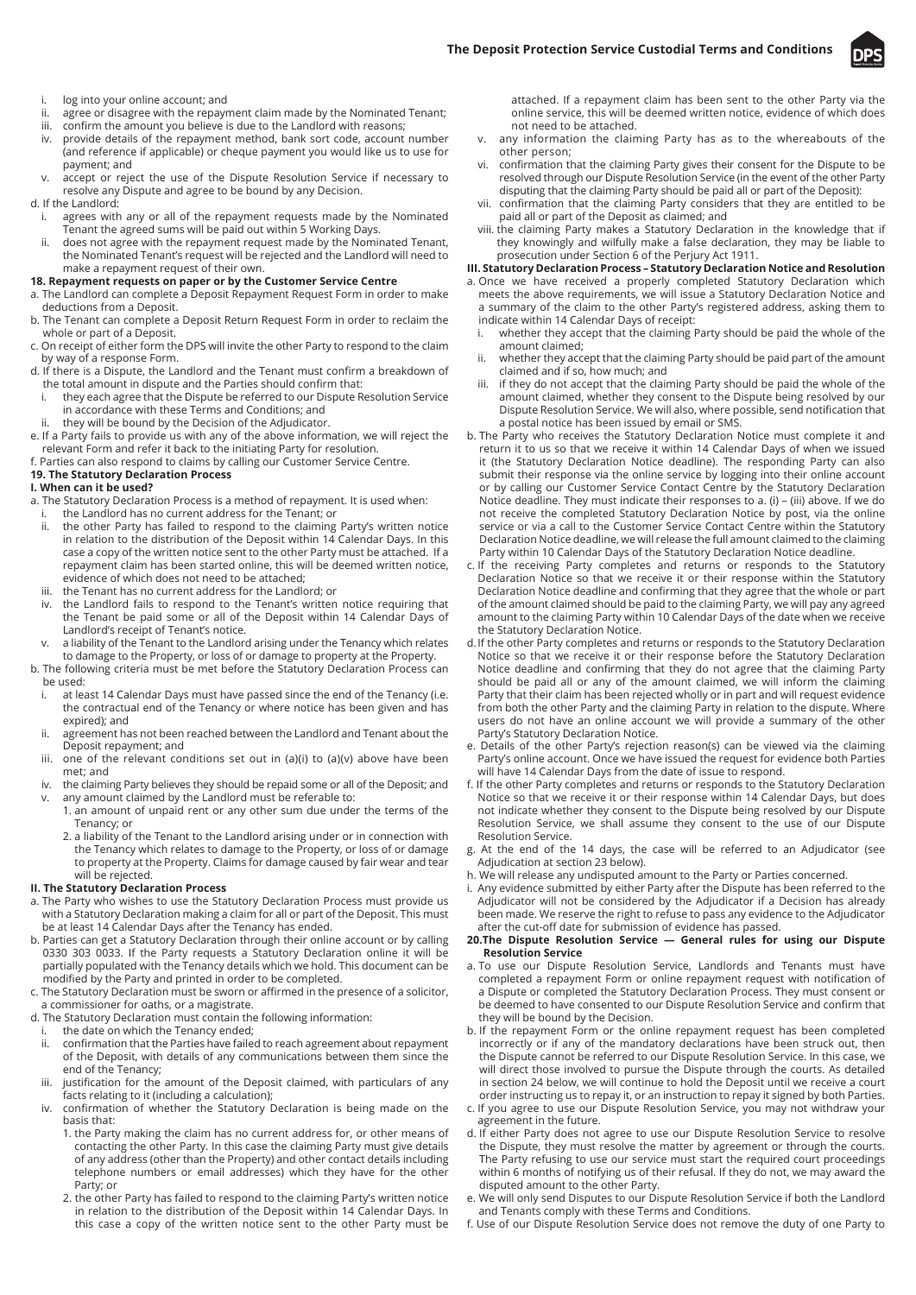

- i. log into your online account; and
- ii. agree or disagree with the repayment claim made by the Nominated Tenant;
- iii. confirm the amount you believe is due to the Landlord with reasons;
- iv. provide details of the repayment method, bank sort code, account number (and reference if applicable) or cheque payment you would like us to use for payment; and
- v. accept or reject the use of the Dispute Resolution Service if necessary to resolve any Dispute and agree to be bound by any Decision.

## d. If the Landlord:

- i. agrees with any or all of the repayment requests made by the Nominated Tenant the agreed sums will be paid out within 5 Working Days.
- ii. does not agree with the repayment request made by the Nominated Tenant, the Nominated Tenant's request will be rejected and the Landlord will need to make a repayment request of their own.

## **18. Repayment requests on paper or by the Customer Service Centre**

- a. The Landlord can complete a Deposit Repayment Request Form in order to make deductions from a Deposit.
- b. The Tenant can complete a Deposit Return Request Form in order to reclaim the whole or part of a Deposit.
- c. On receipt of either form the DPS will invite the other Party to respond to the claim by way of a response Form.
- d. If there is a Dispute, the Landlord and the Tenant must confirm a breakdown of the total amount in dispute and the Parties should confirm that:
- i. they each agree that the Dispute be referred to our Dispute Resolution Service in accordance with these Terms and Conditions; and
- they will be bound by the Decision of the Adjudicator.
- e. If a Party fails to provide us with any of the above information, we will reject the relevant Form and refer it back to the initiating Party for resolution.
- f. Parties can also respond to claims by calling our Customer Service Centre.

#### **19. The Statutory Declaration Process**

## **I. When can it be used?**

- a. The Statutory Declaration Process is a method of repayment. It is used when:
- i. the Landlord has no current address for the Tenant; or ii. the other Party has failed to respond to the claiming Party's written notice in relation to the distribution of the Deposit within 14 Calendar Days. In this case a copy of the written notice sent to the other Party must be attached. If a repayment claim has been started online, this will be deemed written notice, evidence of which does not need to be attached;
- iii. the Tenant has no current address for the Landlord; or
- the Landlord fails to respond to the Tenant's written notice requiring that the Tenant be paid some or all of the Deposit within 14 Calendar Days of Landlord's receipt of Tenant's notice.
- v. a liability of the Tenant to the Landlord arising under the Tenancy which relates to damage to the Property, or loss of or damage to property at the Property. b. The following criteria must be met before the Statutory Declaration Process can
- be used:
- i. at least 14 Calendar Days must have passed since the end of the Tenancy (i.e. the contractual end of the Tenancy or where notice has been given and has expired); and
- ii. agreement has not been reached between the Landlord and Tenant about the Deposit repayment; and
- iii. one of the relevant conditions set out in (a)(i) to (a)(v) above have been met; and
- iv. the claiming Party believes they should be repaid some or all of the Deposit; and any amount claimed by the Landlord must be referable to:
	- 1. an amount of unpaid rent or any other sum due under the terms of the Tenancy; or
	- 2. a liability of the Tenant to the Landlord arising under or in connection with the Tenancy which relates to damage to the Property, or loss of or damage to property at the Property. Claims for damage caused by fair wear and tear will be rejected.

## **II. The Statutory Declaration Process**

- a. The Party who wishes to use the Statutory Declaration Process must provide us with a Statutory Declaration making a claim for all or part of the Deposit. This must be at least 14 Calendar Days after the Tenancy has ended.
- b. Parties can get a Statutory Declaration through their online account or by calling 0330 303 0033. If the Party requests a Statutory Declaration online it will be partially populated with the Tenancy details which we hold. This document can be modified by the Party and printed in order to be completed.
- c. The Statutory Declaration must be sworn or affirmed in the presence of a solicitor, a commissioner for oaths, or a magistrate.
- d. The Statutory Declaration must contain the following information:
- i. the date on which the Tenancy ended;<br>ii confirmation that the Parties have faile
- confirmation that the Parties have failed to reach agreement about repayment of the Deposit, with details of any communications between them since the end of the Tenancy;
- iii. justification for the amount of the Deposit claimed, with particulars of any facts relating to it (including a calculation);
- iv. confirmation of whether the Statutory Declaration is being made on the basis that:
	- 1. the Party making the claim has no current address for, or other means of contacting the other Party. In this case the claiming Party must give details of any address (other than the Property) and other contact details including telephone numbers or email addresses) which they have for the other Party; or
	- 2. the other Party has failed to respond to the claiming Party's written notice in relation to the distribution of the Deposit within 14 Calendar Days. In this case a copy of the written notice sent to the other Party must be

attached. If a repayment claim has been sent to the other Party via the online service, this will be deemed written notice, evidence of which does not need to be attached.

- v. any information the claiming Party has as to the whereabouts of the other person;
- vi. confirmation that the claiming Party gives their consent for the Dispute to be resolved through our Dispute Resolution Service (in the event of the other Party disputing that the claiming Party should be paid all or part of the Deposit):
- vii. confirmation that the claiming Party considers that they are entitled to be paid all or part of the Deposit as claimed; and
- viii. the claiming Party makes a Statutory Declaration in the knowledge that if they knowingly and wilfully make a false declaration, they may be liable to prosecution under Section 6 of the Perjury Act 1911.

#### **III. Statutory Declaration Process – Statutory Declaration Notice and Resolution**

- a. Once we have received a properly completed Statutory Declaration which meets the above requirements, we will issue a Statutory Declaration Notice and a summary of the claim to the other Party's registered address, asking them to indicate within 14 Calendar Days of receipt:
	- i. whether they accept that the claiming Party should be paid the whole of the amount claimed;
	- whether they accept that the claiming Party should be paid part of the amount claimed and if so, how much; and
	- iii. if they do not accept that the claiming Party should be paid the whole of the amount claimed, whether they consent to the Dispute being resolved by our Dispute Resolution Service. We will also, where possible, send notification that a postal notice has been issued by email or SMS.
- b. The Party who receives the Statutory Declaration Notice must complete it and return it to us so that we receive it within 14 Calendar Days of when we issued it (the Statutory Declaration Notice deadline). The responding Party can also submit their response via the online service by logging into their online account or by calling our Customer Service Contact Centre by the Statutory Declaration Notice deadline. They must indicate their responses to a. (i) – (iii) above. If we do not receive the completed Statutory Declaration Notice by post, via the online service or via a call to the Customer Service Contact Centre within the Statutory Declaration Notice deadline, we will release the full amount claimed to the claiming Party within 10 Calendar Days of the Statutory Declaration Notice deadline.
- c. If the receiving Party completes and returns or responds to the Statutory Declaration Notice so that we receive it or their response within the Statutory Declaration Notice deadline and confirming that they agree that the whole or part of the amount claimed should be paid to the claiming Party, we will pay any agreed amount to the claiming Party within 10 Calendar Days of the date when we receive the Statutory Declaration Notice.
- d.If the other Party completes and returns or responds to the Statutory Declaration Notice so that we receive it or their response before the Statutory Declaration Notice deadline and confirming that they do not agree that the claiming Party should be paid all or any of the amount claimed, we will inform the claiming Party that their claim has been rejected wholly or in part and will request evidence from both the other Party and the claiming Party in relation to the dispute. Where users do not have an online account we will provide a summary of the other Party's Statutory Declaration Notice.
- e. Details of the other Party's rejection reason(s) can be viewed via the claiming Party's online account. Once we have issued the request for evidence both Parties will have 14 Calendar Days from the date of issue to respond.
- f. If the other Party completes and returns or responds to the Statutory Declaration Notice so that we receive it or their response within 14 Calendar Days, but does not indicate whether they consent to the Dispute being resolved by our Dispute Resolution Service, we shall assume they consent to the use of our Dispute Resolution Service.
- g. At the end of the 14 days, the case will be referred to an Adjudicator (see Adjudication at section 23 below).
- h. We will release any undisputed amount to the Party or Parties concerned.
- Any evidence submitted by either Party after the Dispute has been referred to the Adjudicator will not be considered by the Adjudicator if a Decision has already been made. We reserve the right to refuse to pass any evidence to the Adjudicator after the cut-off date for submission of evidence has passed.

#### **20.The Dispute Resolution Service — General rules for using our Dispute Resolution Service**

- a. To use our Dispute Resolution Service, Landlords and Tenants must have completed a repayment Form or online repayment request with notification of a Dispute or completed the Statutory Declaration Process. They must consent or be deemed to have consented to our Dispute Resolution Service and confirm that they will be bound by the Decision.
- b. If the repayment Form or the online repayment request has been completed incorrectly or if any of the mandatory declarations have been struck out, then the Dispute cannot be referred to our Dispute Resolution Service. In this case, we will direct those involved to pursue the Dispute through the courts. As detailed in section 24 below, we will continue to hold the Deposit until we receive a court order instructing us to repay it, or an instruction to repay it signed by both Parties.
- c. If you agree to use our Dispute Resolution Service, you may not withdraw your agreement in the future.
- d. If either Party does not agree to use our Dispute Resolution Service to resolve the Dispute, they must resolve the matter by agreement or through the courts. The Party refusing to use our service must start the required court proceedings within 6 months of notifying us of their refusal. If they do not, we may award the disputed amount to the other Party.
- e. We will only send Disputes to our Dispute Resolution Service if both the Landlord and Tenants comply with these Terms and Conditions.
- f. Use of our Dispute Resolution Service does not remove the duty of one Party to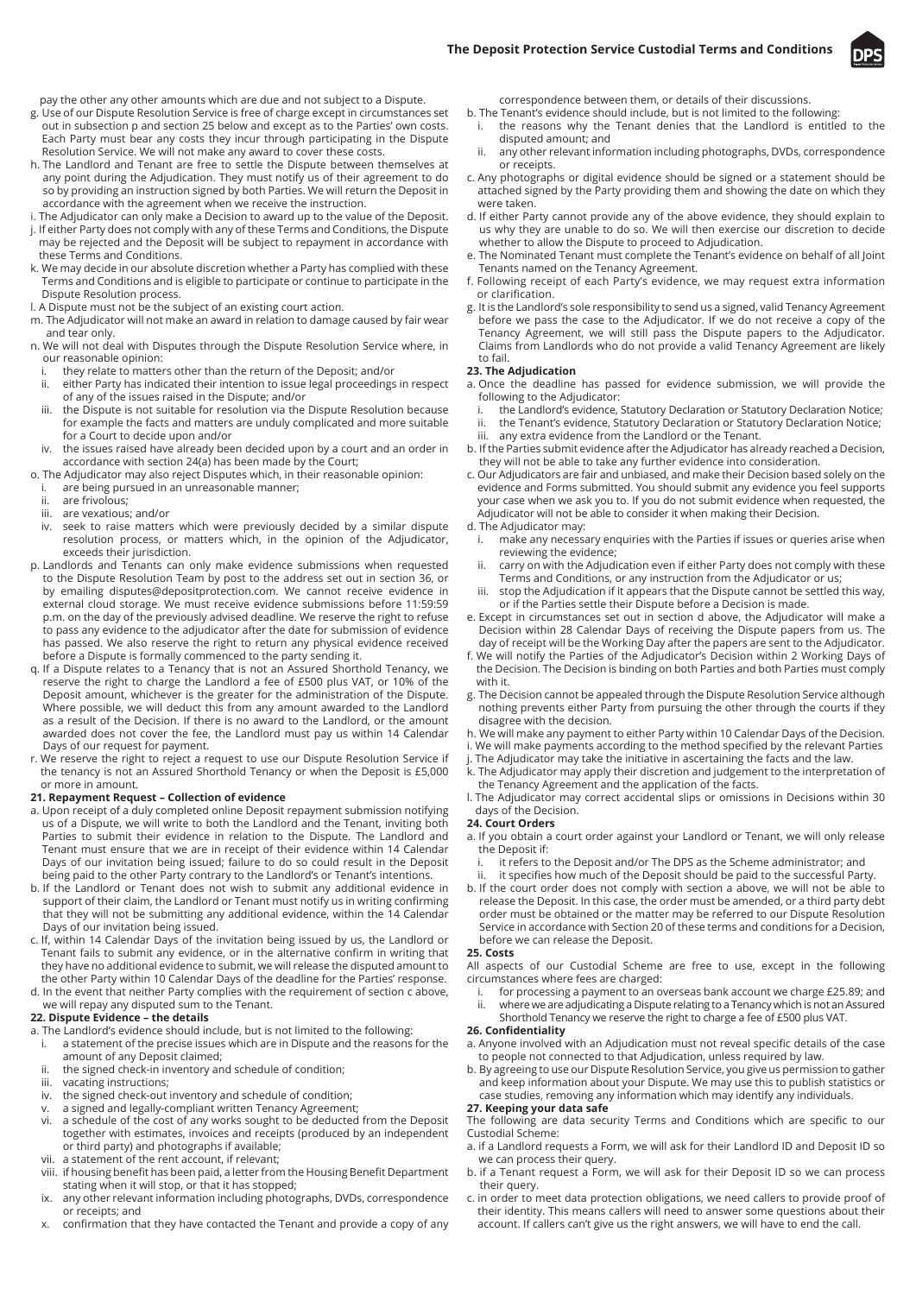

pay the other any other amounts which are due and not subject to a Dispute.

- g. Use of our Dispute Resolution Service is free of charge except in circumstances set out in subsection p and section 25 below and except as to the Parties' own costs. Each Party must bear any costs they incur through participating in the Dispute Resolution Service. We will not make any award to cover these costs.
- h. The Landlord and Tenant are free to settle the Dispute between themselves at any point during the Adjudication. They must notify us of their agreement to do so by providing an instruction signed by both Parties. We will return the Deposit in accordance with the agreement when we receive the instruction.
- i. The Adjudicator can only make a Decision to award up to the value of the Deposit.
- j. If either Party does not comply with any of these Terms and Conditions, the Dispute may be rejected and the Deposit will be subject to repayment in accordance with these Terms and Conditions.
- k. We may decide in our absolute discretion whether a Party has complied with these Terms and Conditions and is eligible to participate or continue to participate in the Dispute Resolution process.
- l. A Dispute must not be the subject of an existing court action.
- m. The Adjudicator will not make an award in relation to damage caused by fair wear and tear only.
- n. We will not deal with Disputes through the Dispute Resolution Service where, in our reasonable opinion:
- i. they relate to matters other than the return of the Deposit; and/or<br>ii. either Party has indicated their intention to issue legal proceedings
- either Party has indicated their intention to issue legal proceedings in respect of any of the issues raised in the Dispute; and/or
- iii. the Dispute is not suitable for resolution via the Dispute Resolution because for example the facts and matters are unduly complicated and more suitable for a Court to decide upon and/or
- iv. the issues raised have already been decided upon by a court and an order in accordance with section 24(a) has been made by the Court;
- o. The Adjudicator may also reject Disputes which, in their reasonable opinion:
	- i. are being pursued in an unreasonable manner;<br>ii are frivolous:
	- are frivolous;
	- iii. are vexatious; and/or
- iv. seek to raise matters which were previously decided by a similar dispute resolution process, or matters which, in the opinion of the Adjudicator, exceeds their jurisdiction.
- p. Landlords and Tenants can only make evidence submissions when requested to the Dispute Resolution Team by post to the address set out in section 36, or by emailing disputes@depositprotection.com. We cannot receive evidence in external cloud storage. We must receive evidence submissions before 11:59:59 p.m. on the day of the previously advised deadline. We reserve the right to refuse to pass any evidence to the adjudicator after the date for submission of evidence has passed. We also reserve the right to return any physical evidence received before a Dispute is formally commenced to the party sending it.
- q. If a Dispute relates to a Tenancy that is not an Assured Shorthold Tenancy, we reserve the right to charge the Landlord a fee of £500 plus VAT, or 10% of the Deposit amount, whichever is the greater for the administration of the Dispute. Where possible, we will deduct this from any amount awarded to the Landlord as a result of the Decision. If there is no award to the Landlord, or the amount awarded does not cover the fee, the Landlord must pay us within 14 Calendar Days of our request for payment.
- r. We reserve the right to reject a request to use our Dispute Resolution Service if the tenancy is not an Assured Shorthold Tenancy or when the Deposit is £5,000 or more in amount.

## **21. Repayment Request – Collection of evidence**

- a. Upon receipt of a duly completed online Deposit repayment submission notifying us of a Dispute, we will write to both the Landlord and the Tenant, inviting both Parties to submit their evidence in relation to the Dispute. The Landlord and Tenant must ensure that we are in receipt of their evidence within 14 Calendar Days of our invitation being issued; failure to do so could result in the Deposit being paid to the other Party contrary to the Landlord's or Tenant's intentions.
- b. If the Landlord or Tenant does not wish to submit any additional evidence in support of their claim, the Landlord or Tenant must notify us in writing confirming that they will not be submitting any additional evidence, within the 14 Calendar Days of our invitation being issued.
- c. If, within 14 Calendar Days of the invitation being issued by us, the Landlord or Tenant fails to submit any evidence, or in the alternative confirm in writing that they have no additional evidence to submit, we will release the disputed amount to the other Party within 10 Calendar Days of the deadline for the Parties' response.
- d. In the event that neither Party complies with the requirement of section c above, we will repay any disputed sum to the Tenant.

## **22. Dispute Evidence – the details**

- a. The Landlord's evidence should include, but is not limited to the following:
- i. a statement of the precise issues which are in Dispute and the reasons for the amount of any Deposit claimed;
- ii. the signed check-in inventory and schedule of condition;
- iii. vacating instructions;
- iv. the signed check-out inventory and schedule of condition;
- v. a signed and legally-compliant written Tenancy Agreement;
- vi. a schedule of the cost of any works sought to be deducted from the Deposit together with estimates, invoices and receipts (produced by an independent or third party) and photographs if available;
- vii. a statement of the rent account, if relevant;
- viii. if housing benefit has been paid, a letter from the Housing Benefit Department stating when it will stop, or that it has stopped;
- any other relevant information including photographs, DVDs, correspondence or receipts; and
- x. confirmation that they have contacted the Tenant and provide a copy of any

correspondence between them, or details of their discussions.

- b. The Tenant's evidence should include, but is not limited to the following: i. the reasons why the Tenant denies that the Landlord is entitled to the
	- disputed amount; and ii. any other relevant information including photographs, DVDs, correspondence
- or receipts. c. Any photographs or digital evidence should be signed or a statement should be
- attached signed by the Party providing them and showing the date on which they were taken.
- d. If either Party cannot provide any of the above evidence, they should explain to us why they are unable to do so. We will then exercise our discretion to decide whether to allow the Dispute to proceed to Adjudication.
- e. The Nominated Tenant must complete the Tenant's evidence on behalf of all Joint Tenants named on the Tenancy Agreement.
- f. Following receipt of each Party's evidence, we may request extra information or clarification.
- g. It is the Landlord's sole responsibility to send us a signed, valid Tenancy Agreement before we pass the case to the Adjudicator. If we do not receive a copy of the Tenancy Agreement, we will still pass the Dispute papers to the Adjudicator. Claims from Landlords who do not provide a valid Tenancy Agreement are likely to fail.

## **23. The Adjudication**

- a. Once the deadline has passed for evidence submission, we will provide the following to the Adjudicator:
	- i. the Landlord's evidence, Statutory Declaration or Statutory Declaration Notice;
- the Tenant's evidence, Statutory Declaration or Statutory Declaration Notice; iii. any extra evidence from the Landlord or the Tenant.
- b. If the Parties submit evidence after the Adjudicator has already reached a Decision, they will not be able to take any further evidence into consideration.
- c. Our Adjudicators are fair and unbiased, and make their Decision based solely on the evidence and Forms submitted. You should submit any evidence you feel supports your case when we ask you to. If you do not submit evidence when requested, the Adjudicator will not be able to consider it when making their Decision.
- d. The Adjudicator may:
- i. make any necessary enquiries with the Parties if issues or queries arise when reviewing the evidence;
- carry on with the Adjudication even if either Party does not comply with these Terms and Conditions, or any instruction from the Adjudicator or us;
- stop the Adjudication if it appears that the Dispute cannot be settled this way, or if the Parties settle their Dispute before a Decision is made.
- e. Except in circumstances set out in section d above, the Adjudicator will make a Decision within 28 Calendar Days of receiving the Dispute papers from us. The day of receipt will be the Working Day after the papers are sent to the Adjudicator.
- f. We will notify the Parties of the Adjudicator's Decision within 2 Working Days of the Decision. The Decision is binding on both Parties and both Parties must comply with it.
- g. The Decision cannot be appealed through the Dispute Resolution Service although nothing prevents either Party from pursuing the other through the courts if they disagree with the decision.
- h. We will make any payment to either Party within 10 Calendar Days of the Decision.
- i. We will make payments according to the method specified by the relevant Parties
- The Adjudicator may take the initiative in ascertaining the facts and the law.
- k. The Adjudicator may apply their discretion and judgement to the interpretation of the Tenancy Agreement and the application of the facts.
- l. The Adjudicator may correct accidental slips or omissions in Decisions within 30 days of the Decision.

#### **24. Court Orders**

- a. If you obtain a court order against your Landlord or Tenant, we will only release the Deposit if:
	- it refers to the Deposit and/or The DPS as the Scheme administrator; and
- it specifies how much of the Deposit should be paid to the successful Party. b. If the court order does not comply with section a above, we will not be able to release the Deposit. In this case, the order must be amended, or a third party debt order must be obtained or the matter may be referred to our Dispute Resolution Service in accordance with Section 20 of these terms and conditions for a Decision,

before we can release the Deposit. **25. Costs**

All aspects of our Custodial Scheme are free to use, except in the following circumstances where fees are charged:

for processing a payment to an overseas bank account we charge £25.89; and ii. where we are adjudicating a Dispute relating to a Tenancy which is not an Assured Shorthold Tenancy we reserve the right to charge a fee of £500 plus VAT.

# **26. Confidentiality**

- a. Anyone involved with an Adjudication must not reveal specific details of the case to people not connected to that Adjudication, unless required by law.
- b. By agreeing to use our Dispute Resolution Service, you give us permission to gather and keep information about your Dispute. We may use this to publish statistics or case studies, removing any information which may identify any individuals.

#### **27. Keeping your data safe**

The following are data security Terms and Conditions which are specific to our Custodial Scheme:

- a. if a Landlord requests a Form, we will ask for their Landlord ID and Deposit ID so we can process their query.
- b. if a Tenant request a Form, we will ask for their Deposit ID so we can process their query.
- c. in order to meet data protection obligations, we need callers to provide proof of their identity. This means callers will need to answer some questions about their account. If callers can't give us the right answers, we will have to end the call.